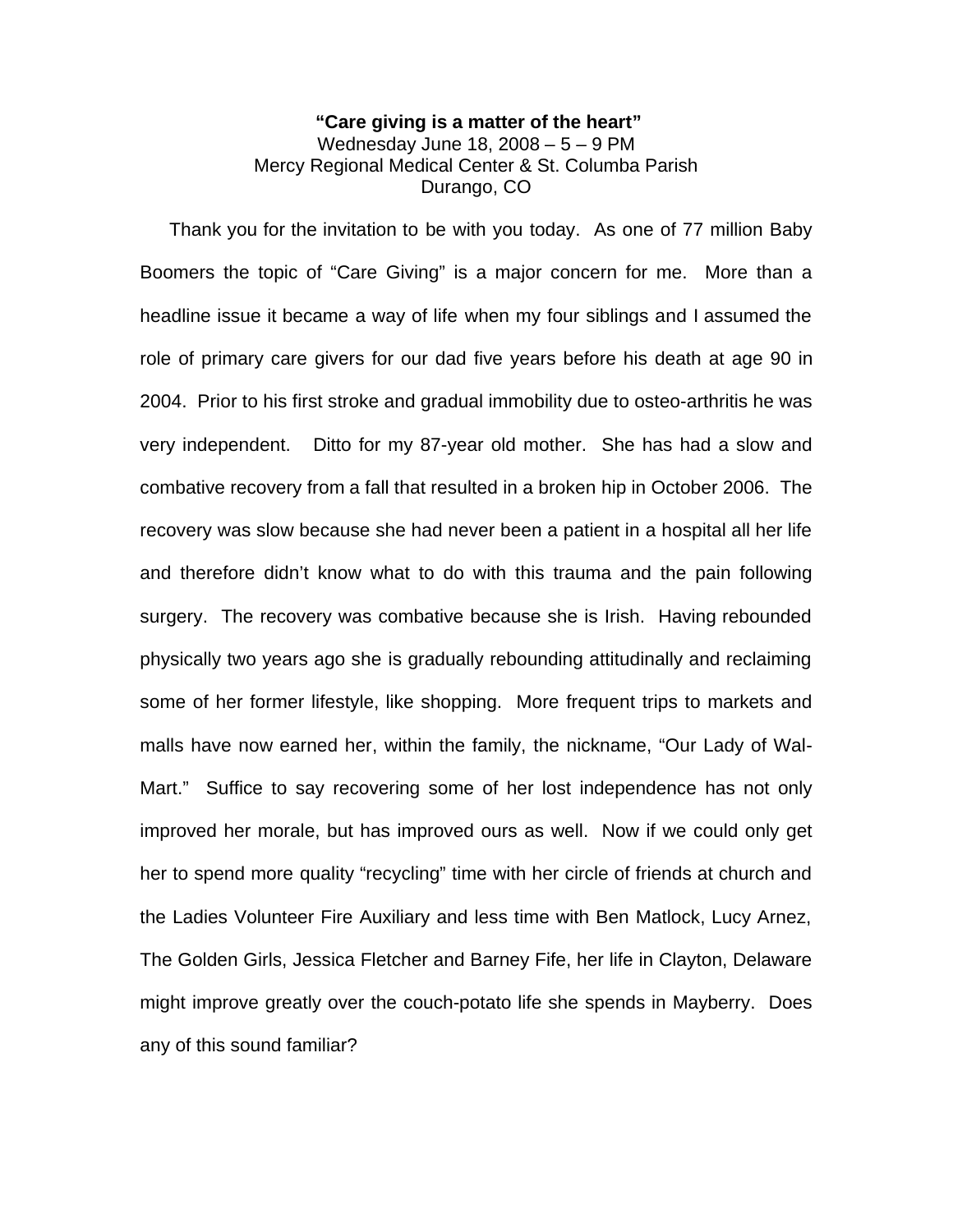# **"Care giving is a matter of the heart"** Wednesday June 18, 2008 – 5 – 9 PM Mercy Regional Medical Center & St. Columba Parish Durango, CO

 Thank you for the invitation to be with you today. As one of 77 million Baby Boomers the topic of "Care Giving" is a major concern for me. More than a headline issue it became a way of life when my four siblings and I assumed the role of primary care givers for our dad five years before his death at age 90 in 2004. Prior to his first stroke and gradual immobility due to osteo-arthritis he was very independent. Ditto for my 87-year old mother. She has had a slow and combative recovery from a fall that resulted in a broken hip in October 2006. The recovery was slow because she had never been a patient in a hospital all her life and therefore didn't know what to do with this trauma and the pain following surgery. The recovery was combative because she is Irish. Having rebounded physically two years ago she is gradually rebounding attitudinally and reclaiming some of her former lifestyle, like shopping. More frequent trips to markets and malls have now earned her, within the family, the nickname, "Our Lady of Wal-Mart." Suffice to say recovering some of her lost independence has not only improved her morale, but has improved ours as well. Now if we could only get her to spend more quality "recycling" time with her circle of friends at church and the Ladies Volunteer Fire Auxiliary and less time with Ben Matlock, Lucy Arnez, The Golden Girls, Jessica Fletcher and Barney Fife, her life in Clayton, Delaware might improve greatly over the couch-potato life she spends in Mayberry. Does any of this sound familiar?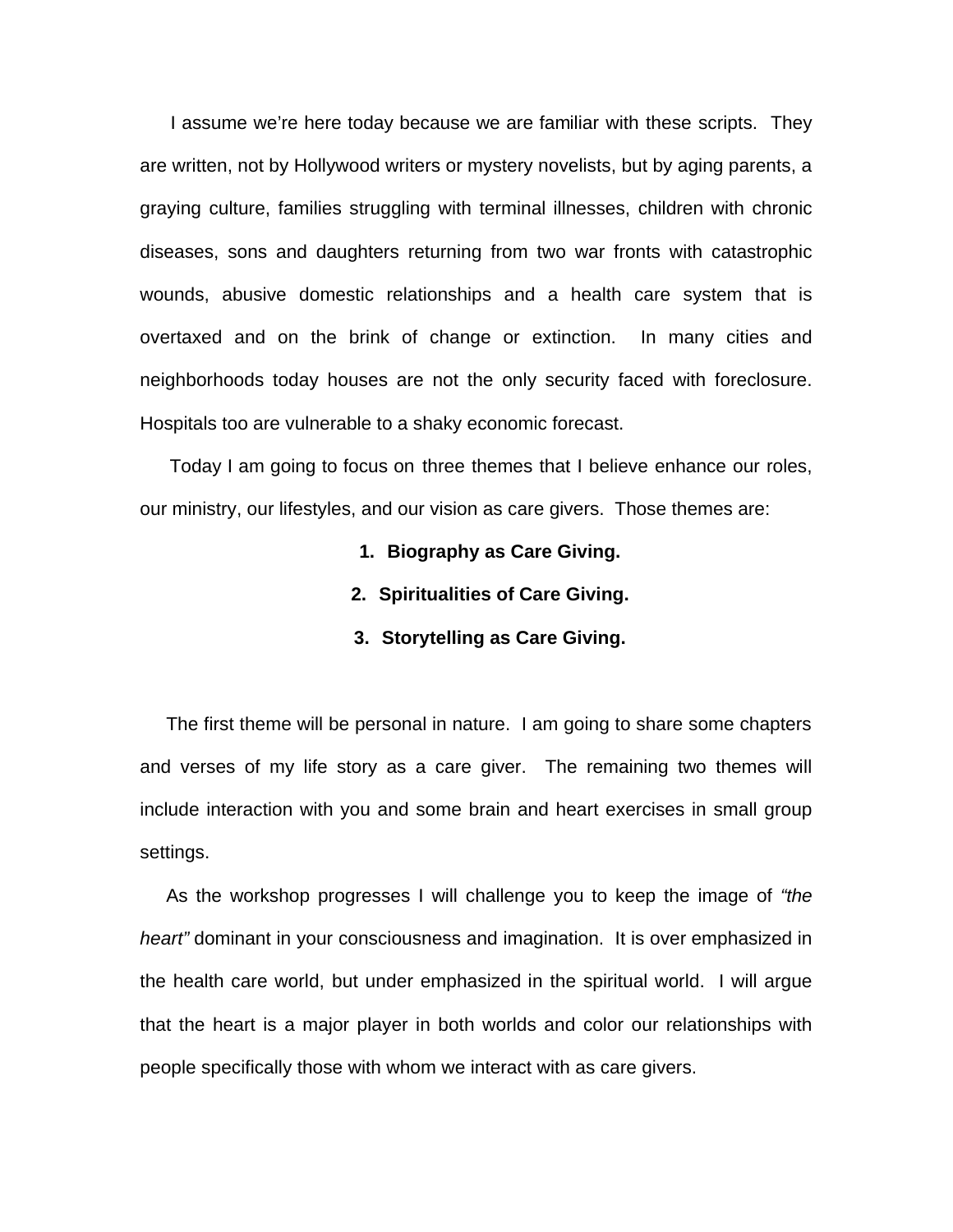I assume we're here today because we are familiar with these scripts. They are written, not by Hollywood writers or mystery novelists, but by aging parents, a graying culture, families struggling with terminal illnesses, children with chronic diseases, sons and daughters returning from two war fronts with catastrophic wounds, abusive domestic relationships and a health care system that is overtaxed and on the brink of change or extinction. In many cities and neighborhoods today houses are not the only security faced with foreclosure. Hospitals too are vulnerable to a shaky economic forecast.

 Today I am going to focus on three themes that I believe enhance our roles, our ministry, our lifestyles, and our vision as care givers. Those themes are:

- **1. Biography as Care Giving.**
- **2. Spiritualities of Care Giving.**
- **3. Storytelling as Care Giving.**

 The first theme will be personal in nature. I am going to share some chapters and verses of my life story as a care giver. The remaining two themes will include interaction with you and some brain and heart exercises in small group settings.

 As the workshop progresses I will challenge you to keep the image of *"the heart"* dominant in your consciousness and imagination. It is over emphasized in the health care world, but under emphasized in the spiritual world. I will argue that the heart is a major player in both worlds and color our relationships with people specifically those with whom we interact with as care givers.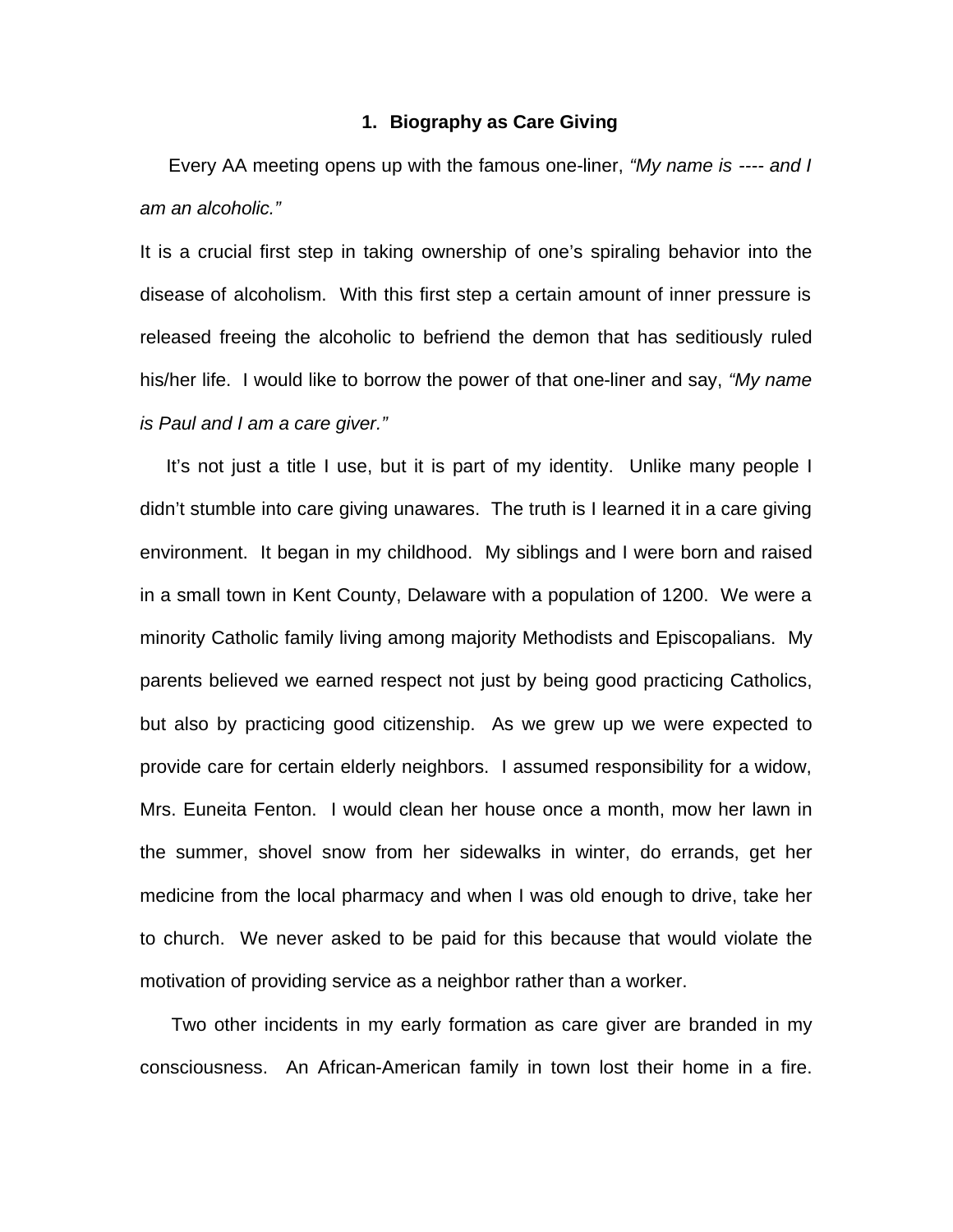# **1. Biography as Care Giving**

 Every AA meeting opens up with the famous one-liner, *"My name is ---- and I am an alcoholic."* 

It is a crucial first step in taking ownership of one's spiraling behavior into the disease of alcoholism. With this first step a certain amount of inner pressure is released freeing the alcoholic to befriend the demon that has seditiously ruled his/her life. I would like to borrow the power of that one-liner and say, *"My name is Paul and I am a care giver."* 

 It's not just a title I use, but it is part of my identity. Unlike many people I didn't stumble into care giving unawares. The truth is I learned it in a care giving environment. It began in my childhood. My siblings and I were born and raised in a small town in Kent County, Delaware with a population of 1200. We were a minority Catholic family living among majority Methodists and Episcopalians. My parents believed we earned respect not just by being good practicing Catholics, but also by practicing good citizenship. As we grew up we were expected to provide care for certain elderly neighbors. I assumed responsibility for a widow, Mrs. Euneita Fenton. I would clean her house once a month, mow her lawn in the summer, shovel snow from her sidewalks in winter, do errands, get her medicine from the local pharmacy and when I was old enough to drive, take her to church. We never asked to be paid for this because that would violate the motivation of providing service as a neighbor rather than a worker.

 Two other incidents in my early formation as care giver are branded in my consciousness. An African-American family in town lost their home in a fire.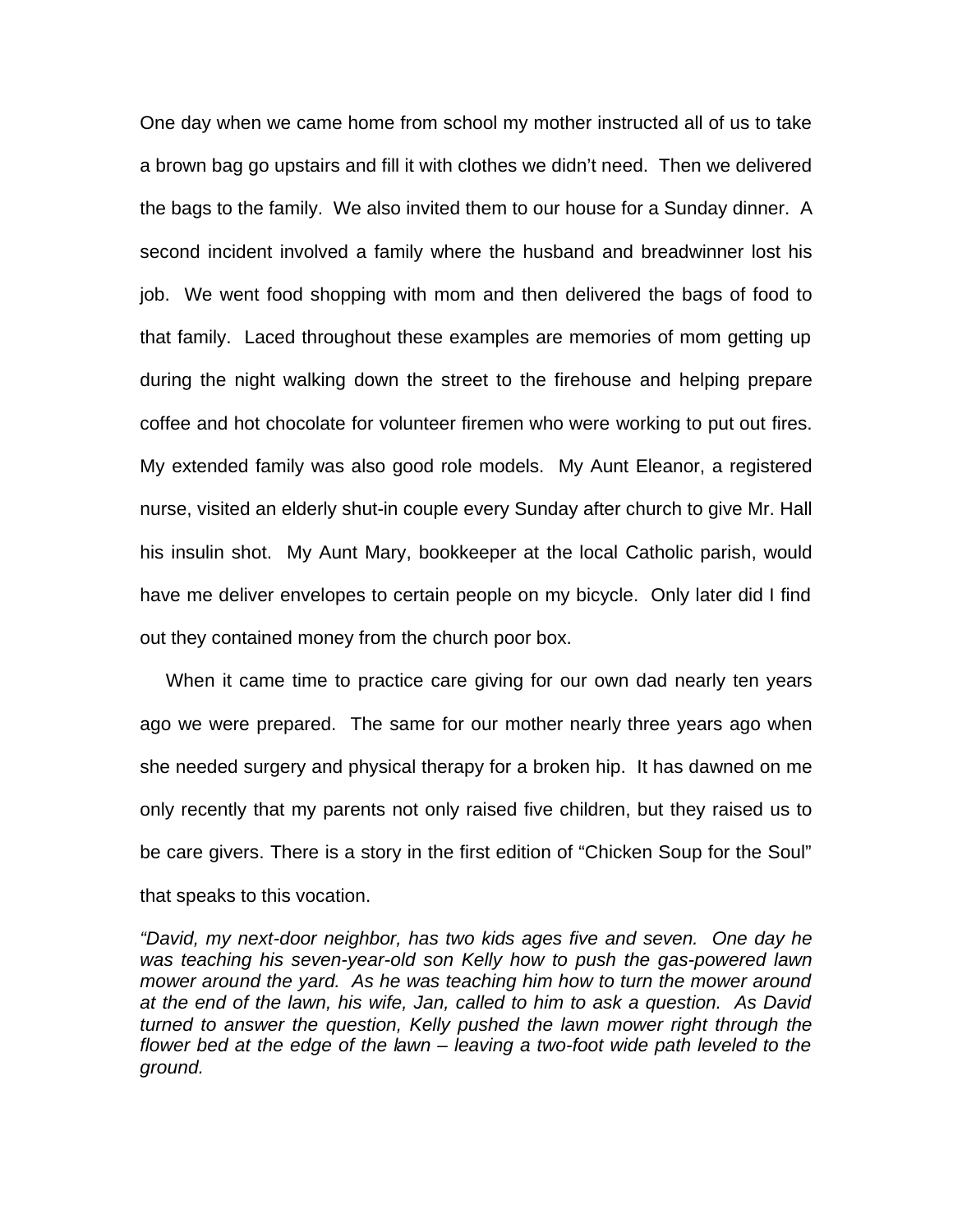One day when we came home from school my mother instructed all of us to take a brown bag go upstairs and fill it with clothes we didn't need. Then we delivered the bags to the family. We also invited them to our house for a Sunday dinner. A second incident involved a family where the husband and breadwinner lost his job. We went food shopping with mom and then delivered the bags of food to that family. Laced throughout these examples are memories of mom getting up during the night walking down the street to the firehouse and helping prepare coffee and hot chocolate for volunteer firemen who were working to put out fires. My extended family was also good role models. My Aunt Eleanor, a registered nurse, visited an elderly shut-in couple every Sunday after church to give Mr. Hall his insulin shot. My Aunt Mary, bookkeeper at the local Catholic parish, would have me deliver envelopes to certain people on my bicycle. Only later did I find out they contained money from the church poor box.

 When it came time to practice care giving for our own dad nearly ten years ago we were prepared. The same for our mother nearly three years ago when she needed surgery and physical therapy for a broken hip. It has dawned on me only recently that my parents not only raised five children, but they raised us to be care givers. There is a story in the first edition of "Chicken Soup for the Soul" that speaks to this vocation.

*"David, my next-door neighbor, has two kids ages five and seven. One day he was teaching his seven-year-old son Kelly how to push the gas-powered lawn mower around the yard. As he was teaching him how to turn the mower around at the end of the lawn, his wife, Jan, called to him to ask a question. As David turned to answer the question, Kelly pushed the lawn mower right through the flower bed at the edge of the lawn – leaving a two-foot wide path leveled to the ground.*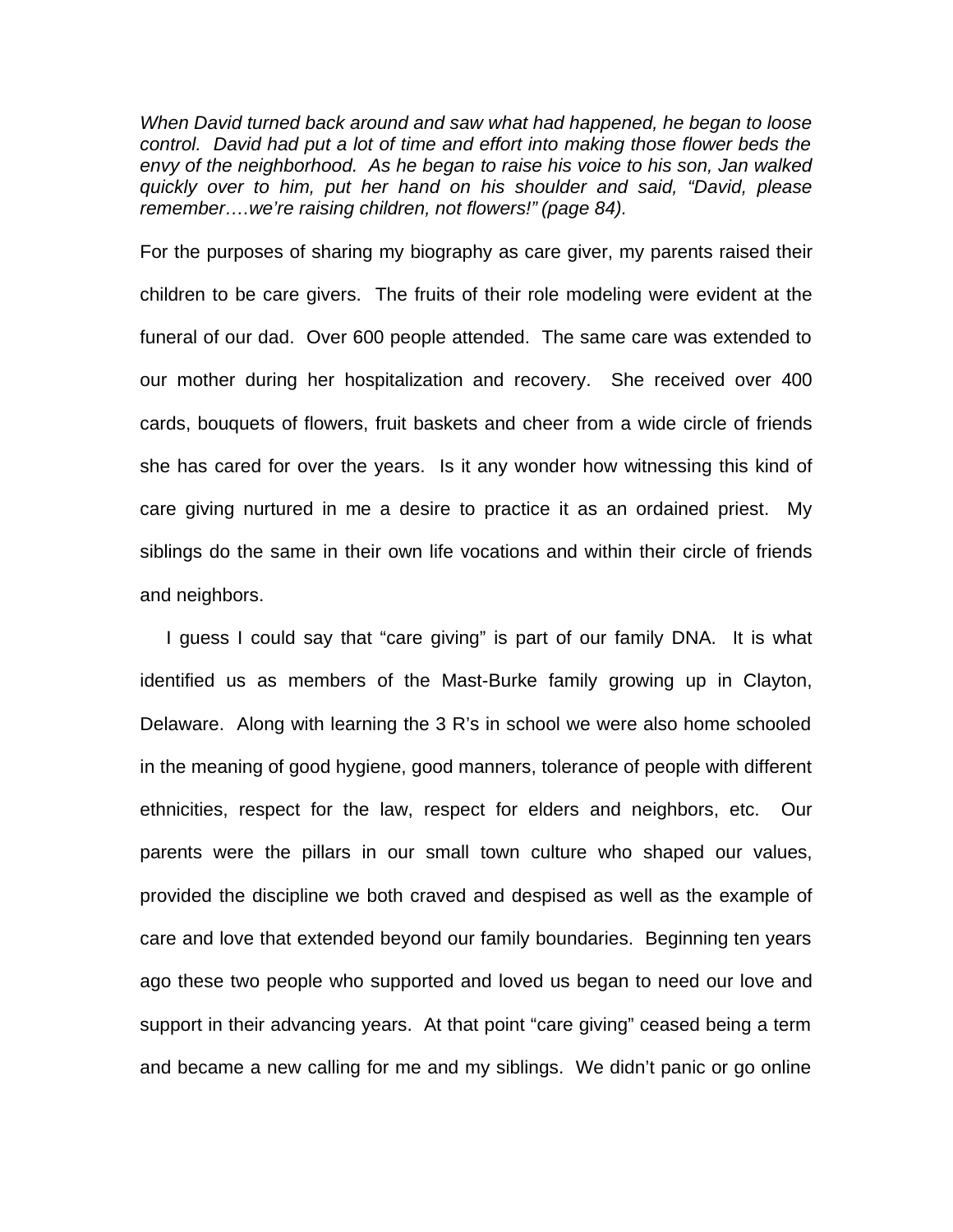*When David turned back around and saw what had happened, he began to loose control. David had put a lot of time and effort into making those flower beds the envy of the neighborhood. As he began to raise his voice to his son, Jan walked quickly over to him, put her hand on his shoulder and said, "David, please remember….we're raising children, not flowers!" (page 84).*

For the purposes of sharing my biography as care giver, my parents raised their children to be care givers. The fruits of their role modeling were evident at the funeral of our dad. Over 600 people attended. The same care was extended to our mother during her hospitalization and recovery. She received over 400 cards, bouquets of flowers, fruit baskets and cheer from a wide circle of friends she has cared for over the years. Is it any wonder how witnessing this kind of care giving nurtured in me a desire to practice it as an ordained priest. My siblings do the same in their own life vocations and within their circle of friends and neighbors.

 I guess I could say that "care giving" is part of our family DNA. It is what identified us as members of the Mast-Burke family growing up in Clayton, Delaware. Along with learning the 3 R's in school we were also home schooled in the meaning of good hygiene, good manners, tolerance of people with different ethnicities, respect for the law, respect for elders and neighbors, etc. Our parents were the pillars in our small town culture who shaped our values, provided the discipline we both craved and despised as well as the example of care and love that extended beyond our family boundaries. Beginning ten years ago these two people who supported and loved us began to need our love and support in their advancing years. At that point "care giving" ceased being a term and became a new calling for me and my siblings. We didn't panic or go online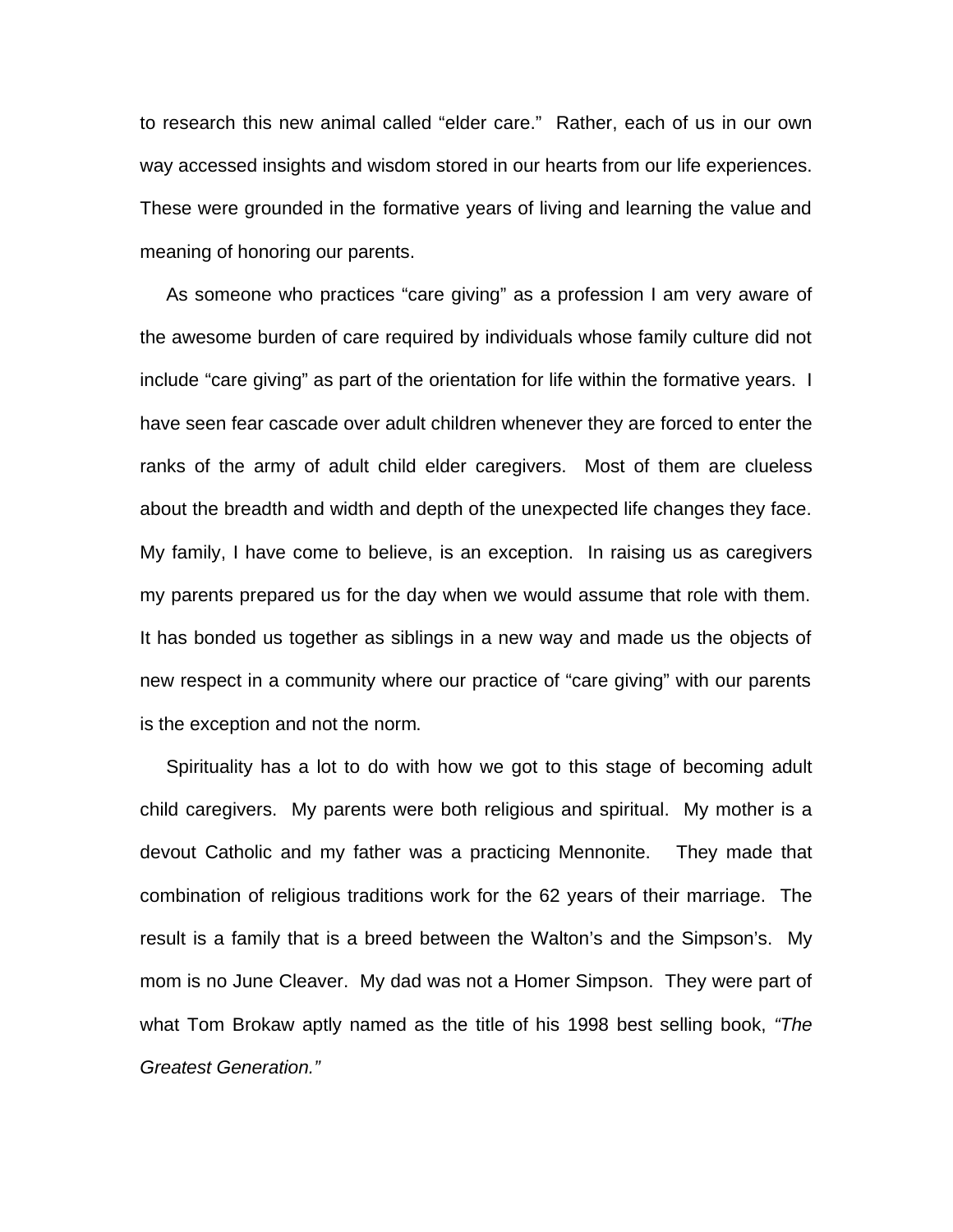to research this new animal called "elder care." Rather, each of us in our own way accessed insights and wisdom stored in our hearts from our life experiences. These were grounded in the formative years of living and learning the value and meaning of honoring our parents.

 As someone who practices "care giving" as a profession I am very aware of the awesome burden of care required by individuals whose family culture did not include "care giving" as part of the orientation for life within the formative years. I have seen fear cascade over adult children whenever they are forced to enter the ranks of the army of adult child elder caregivers. Most of them are clueless about the breadth and width and depth of the unexpected life changes they face. My family, I have come to believe, is an exception. In raising us as caregivers my parents prepared us for the day when we would assume that role with them. It has bonded us together as siblings in a new way and made us the objects of new respect in a community where our practice of "care giving" with our parents is the exception and not the norm.

 Spirituality has a lot to do with how we got to this stage of becoming adult child caregivers. My parents were both religious and spiritual. My mother is a devout Catholic and my father was a practicing Mennonite. They made that combination of religious traditions work for the 62 years of their marriage. The result is a family that is a breed between the Walton's and the Simpson's. My mom is no June Cleaver. My dad was not a Homer Simpson. They were part of what Tom Brokaw aptly named as the title of his 1998 best selling book, *"The Greatest Generation."*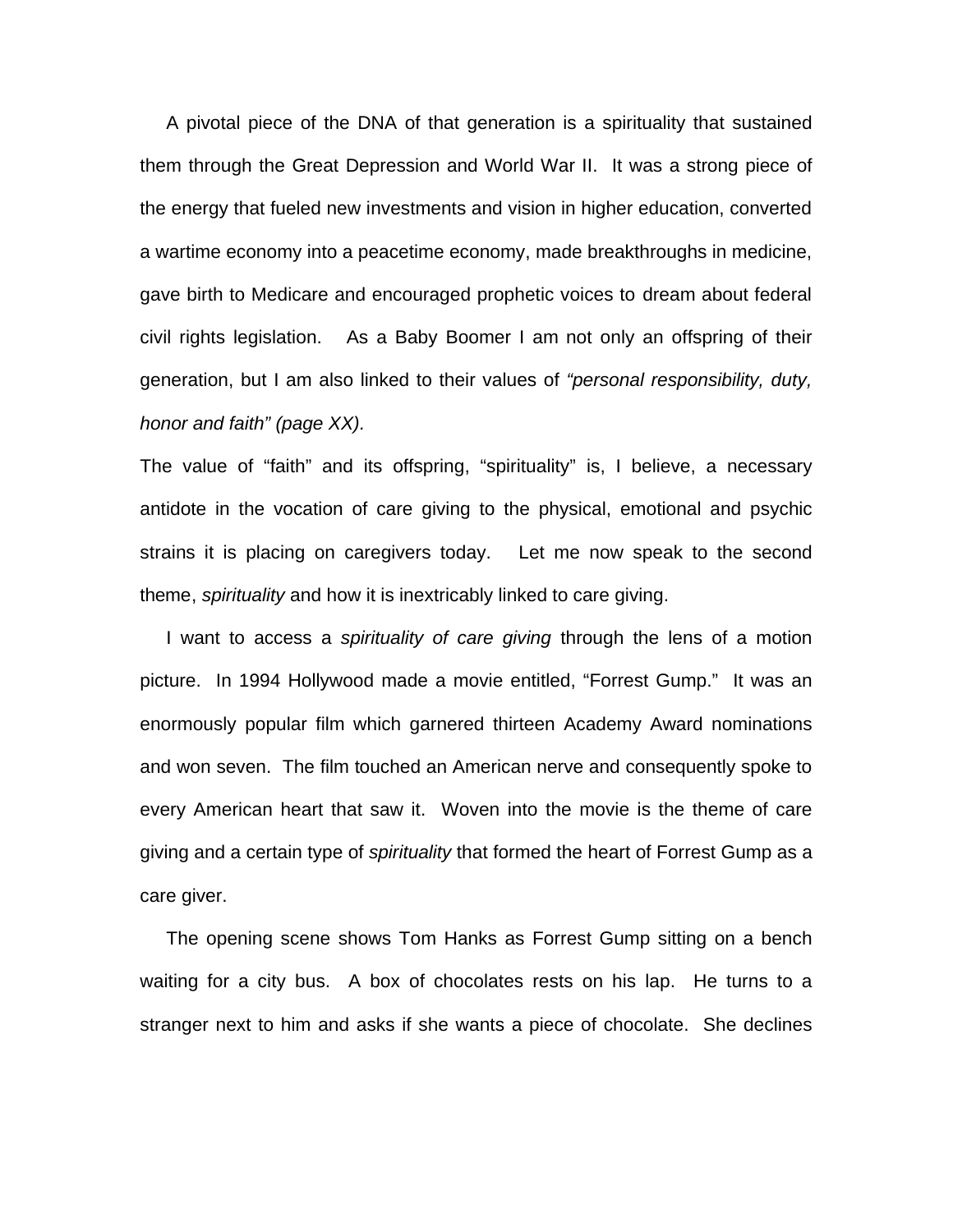A pivotal piece of the DNA of that generation is a spirituality that sustained them through the Great Depression and World War II. It was a strong piece of the energy that fueled new investments and vision in higher education, converted a wartime economy into a peacetime economy, made breakthroughs in medicine, gave birth to Medicare and encouraged prophetic voices to dream about federal civil rights legislation. As a Baby Boomer I am not only an offspring of their generation, but I am also linked to their values of *"personal responsibility, duty, honor and faith" (page XX).*

The value of "faith" and its offspring, "spirituality" is, I believe, a necessary antidote in the vocation of care giving to the physical, emotional and psychic strains it is placing on caregivers today. Let me now speak to the second theme, *spirituality* and how it is inextricably linked to care giving.

 I want to access a *spirituality of care giving* through the lens of a motion picture. In 1994 Hollywood made a movie entitled, "Forrest Gump." It was an enormously popular film which garnered thirteen Academy Award nominations and won seven. The film touched an American nerve and consequently spoke to every American heart that saw it. Woven into the movie is the theme of care giving and a certain type of *spirituality* that formed the heart of Forrest Gump as a care giver.

 The opening scene shows Tom Hanks as Forrest Gump sitting on a bench waiting for a city bus. A box of chocolates rests on his lap. He turns to a stranger next to him and asks if she wants a piece of chocolate. She declines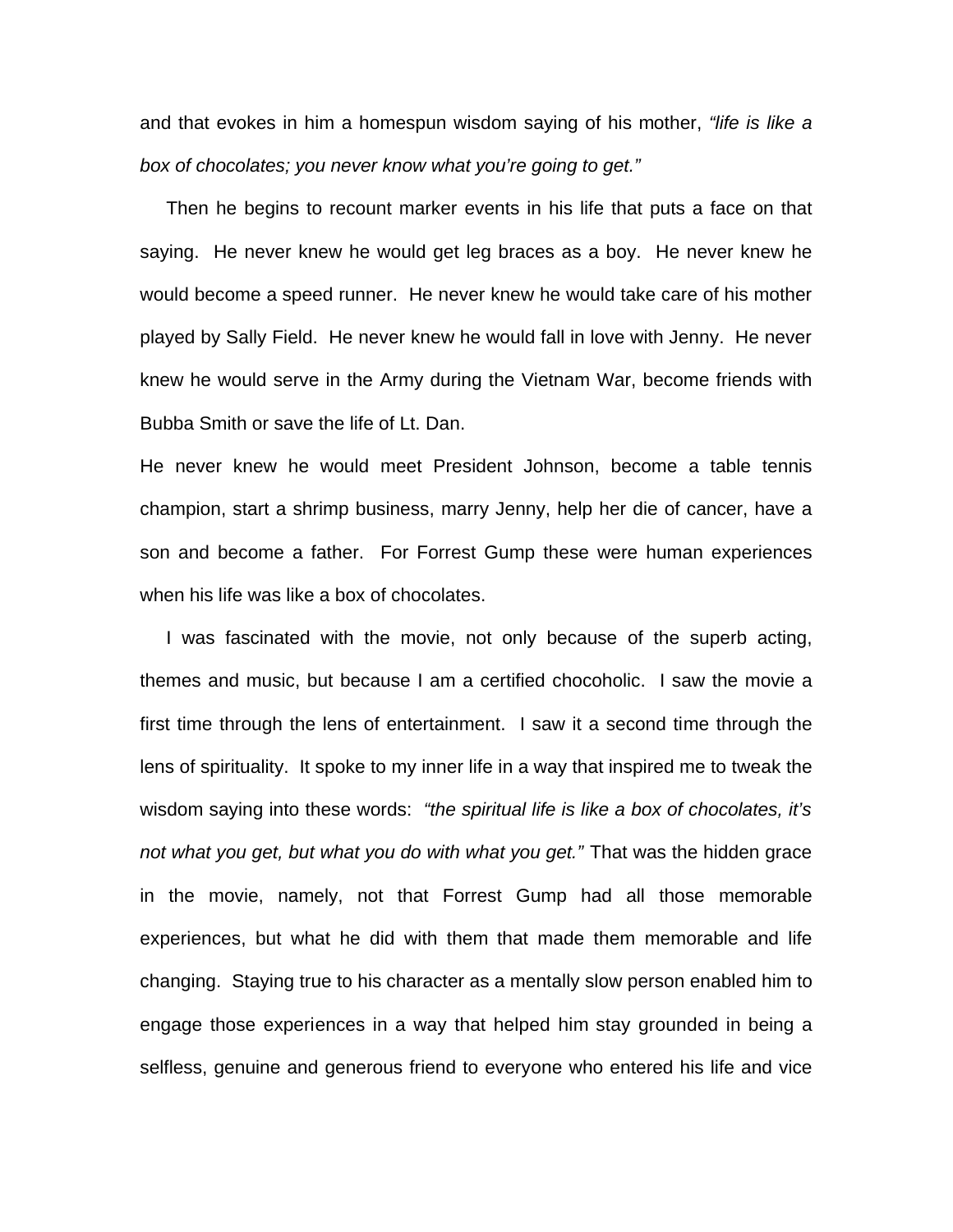and that evokes in him a homespun wisdom saying of his mother, *"life is like a box of chocolates; you never know what you're going to get."* 

Then he begins to recount marker events in his life that puts a face on that saying. He never knew he would get leg braces as a boy. He never knew he would become a speed runner. He never knew he would take care of his mother played by Sally Field. He never knew he would fall in love with Jenny. He never knew he would serve in the Army during the Vietnam War, become friends with Bubba Smith or save the life of Lt. Dan.

He never knew he would meet President Johnson, become a table tennis champion, start a shrimp business, marry Jenny, help her die of cancer, have a son and become a father. For Forrest Gump these were human experiences when his life was like a box of chocolates.

 I was fascinated with the movie, not only because of the superb acting, themes and music, but because I am a certified chocoholic. I saw the movie a first time through the lens of entertainment. I saw it a second time through the lens of spirituality. It spoke to my inner life in a way that inspired me to tweak the wisdom saying into these words: *"the spiritual life is like a box of chocolates, it's not what you get, but what you do with what you get."* That was the hidden grace in the movie, namely, not that Forrest Gump had all those memorable experiences, but what he did with them that made them memorable and life changing. Staying true to his character as a mentally slow person enabled him to engage those experiences in a way that helped him stay grounded in being a selfless, genuine and generous friend to everyone who entered his life and vice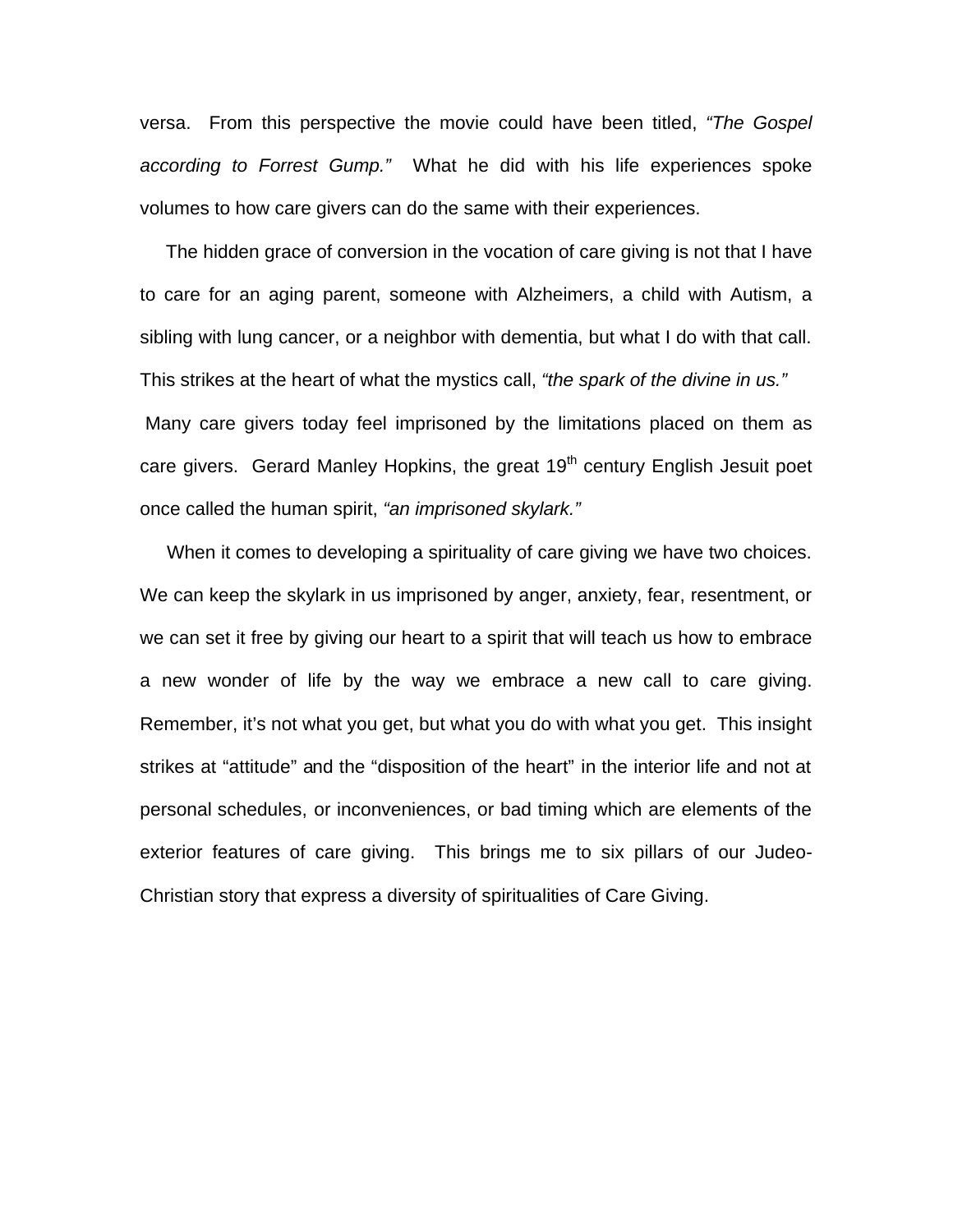versa. From this perspective the movie could have been titled, *"The Gospel according to Forrest Gump."* What he did with his life experiences spoke volumes to how care givers can do the same with their experiences.

 The hidden grace of conversion in the vocation of care giving is not that I have to care for an aging parent, someone with Alzheimers, a child with Autism, a sibling with lung cancer, or a neighbor with dementia, but what I do with that call. This strikes at the heart of what the mystics call, *"the spark of the divine in us."* Many care givers today feel imprisoned by the limitations placed on them as care givers. Gerard Manley Hopkins, the great 19<sup>th</sup> century English Jesuit poet once called the human spirit, *"an imprisoned skylark."* 

 When it comes to developing a spirituality of care giving we have two choices. We can keep the skylark in us imprisoned by anger, anxiety, fear, resentment, or we can set it free by giving our heart to a spirit that will teach us how to embrace a new wonder of life by the way we embrace a new call to care giving. Remember, it's not what you get, but what you do with what you get. This insight strikes at "attitude" and the "disposition of the heart" in the interior life and not at personal schedules, or inconveniences, or bad timing which are elements of the exterior features of care giving. This brings me to six pillars of our Judeo-Christian story that express a diversity of spiritualities of Care Giving.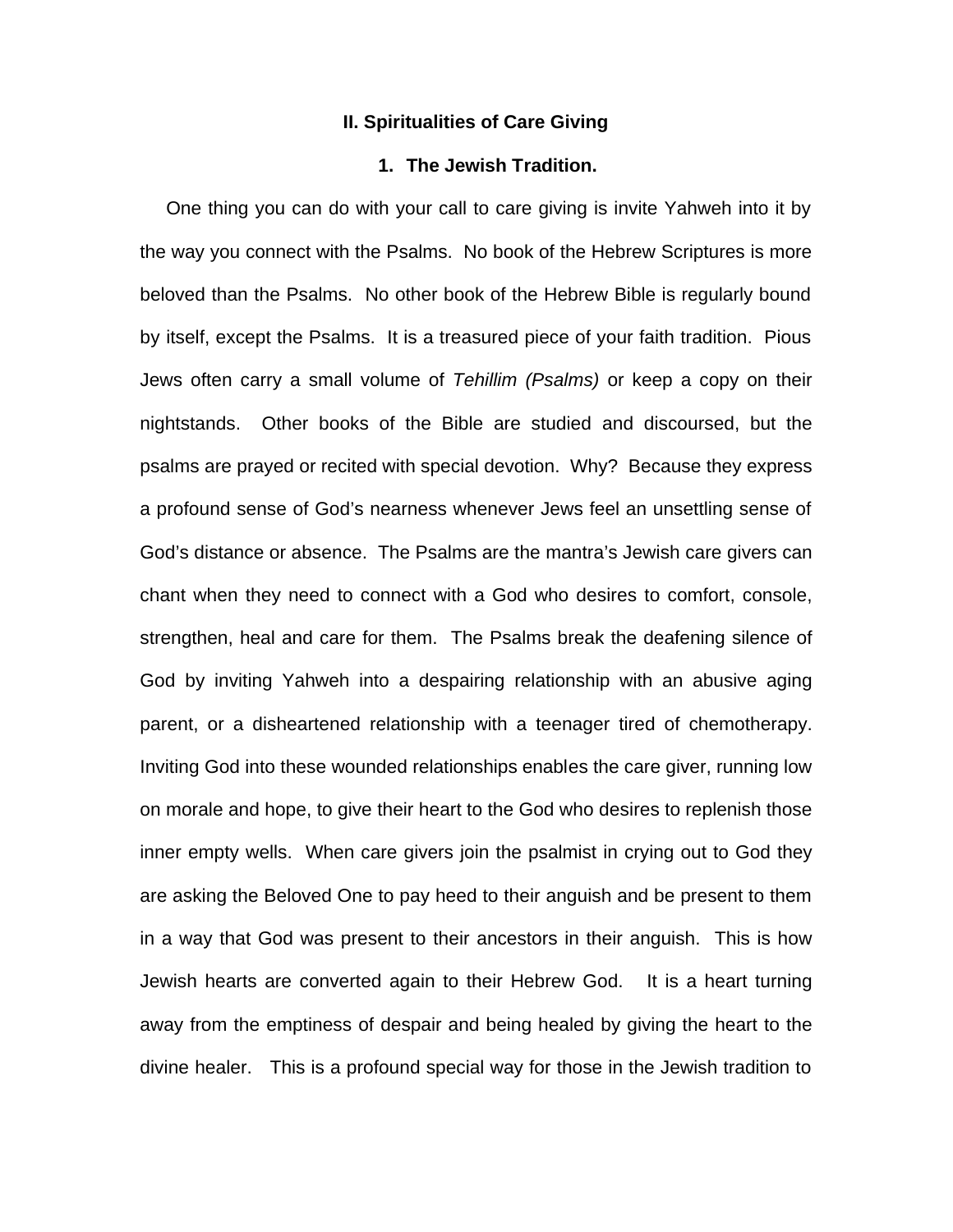#### **II. Spiritualities of Care Giving**

# **1. The Jewish Tradition.**

 One thing you can do with your call to care giving is invite Yahweh into it by the way you connect with the Psalms. No book of the Hebrew Scriptures is more beloved than the Psalms. No other book of the Hebrew Bible is regularly bound by itself, except the Psalms. It is a treasured piece of your faith tradition. Pious Jews often carry a small volume of *Tehillim (Psalms)* or keep a copy on their nightstands. Other books of the Bible are studied and discoursed, but the psalms are prayed or recited with special devotion. Why? Because they express a profound sense of God's nearness whenever Jews feel an unsettling sense of God's distance or absence. The Psalms are the mantra's Jewish care givers can chant when they need to connect with a God who desires to comfort, console, strengthen, heal and care for them. The Psalms break the deafening silence of God by inviting Yahweh into a despairing relationship with an abusive aging parent, or a disheartened relationship with a teenager tired of chemotherapy. Inviting God into these wounded relationships enables the care giver, running low on morale and hope, to give their heart to the God who desires to replenish those inner empty wells. When care givers join the psalmist in crying out to God they are asking the Beloved One to pay heed to their anguish and be present to them in a way that God was present to their ancestors in their anguish. This is how Jewish hearts are converted again to their Hebrew God. It is a heart turning away from the emptiness of despair and being healed by giving the heart to the divine healer. This is a profound special way for those in the Jewish tradition to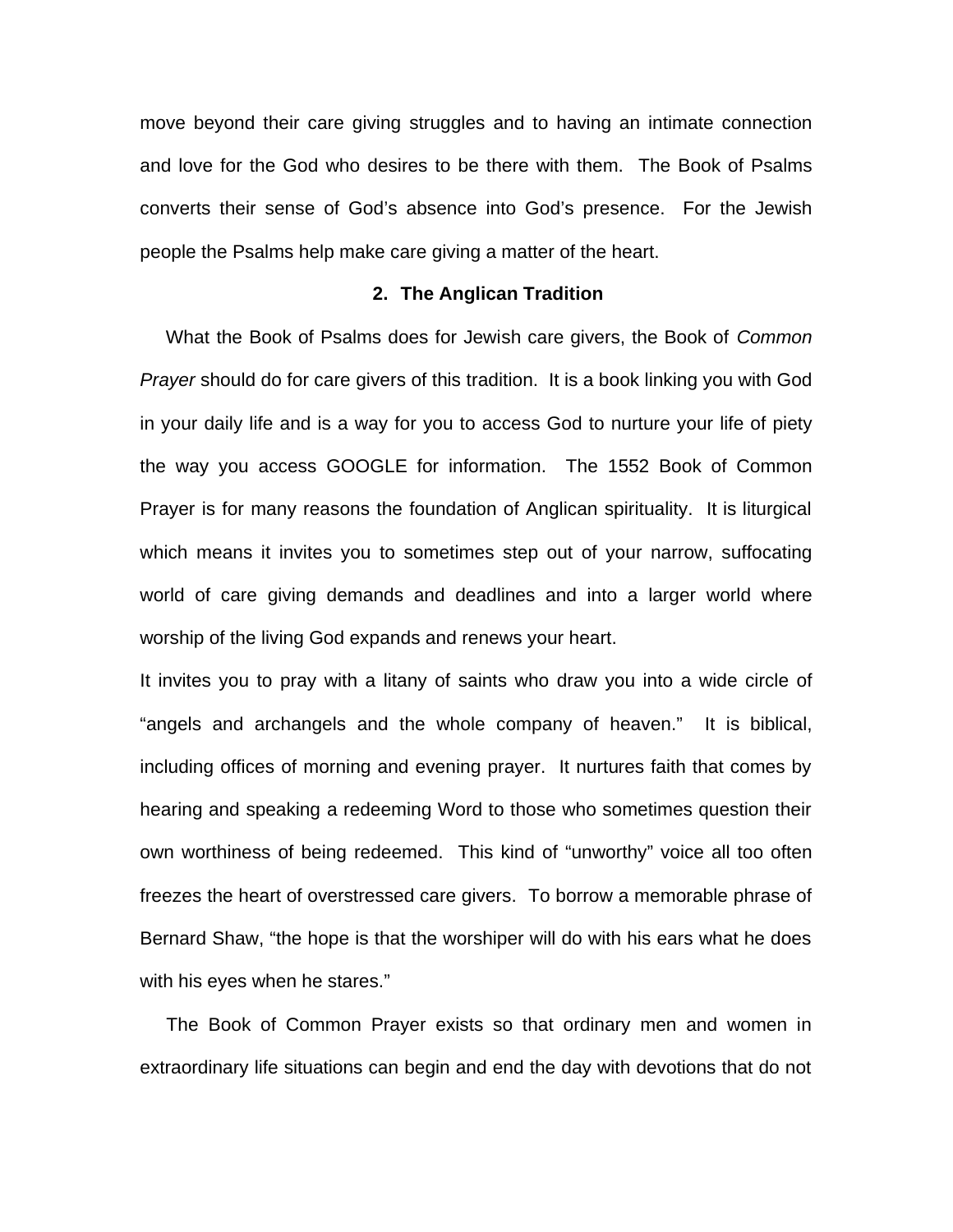move beyond their care giving struggles and to having an intimate connection and love for the God who desires to be there with them. The Book of Psalms converts their sense of God's absence into God's presence. For the Jewish people the Psalms help make care giving a matter of the heart.

## **2. The Anglican Tradition**

 What the Book of Psalms does for Jewish care givers, the Book of *Common Prayer* should do for care givers of this tradition. It is a book linking you with God in your daily life and is a way for you to access God to nurture your life of piety the way you access GOOGLE for information. The 1552 Book of Common Prayer is for many reasons the foundation of Anglican spirituality. It is liturgical which means it invites you to sometimes step out of your narrow, suffocating world of care giving demands and deadlines and into a larger world where worship of the living God expands and renews your heart.

It invites you to pray with a litany of saints who draw you into a wide circle of "angels and archangels and the whole company of heaven." It is biblical, including offices of morning and evening prayer. It nurtures faith that comes by hearing and speaking a redeeming Word to those who sometimes question their own worthiness of being redeemed. This kind of "unworthy" voice all too often freezes the heart of overstressed care givers. To borrow a memorable phrase of Bernard Shaw, "the hope is that the worshiper will do with his ears what he does with his eyes when he stares."

 The Book of Common Prayer exists so that ordinary men and women in extraordinary life situations can begin and end the day with devotions that do not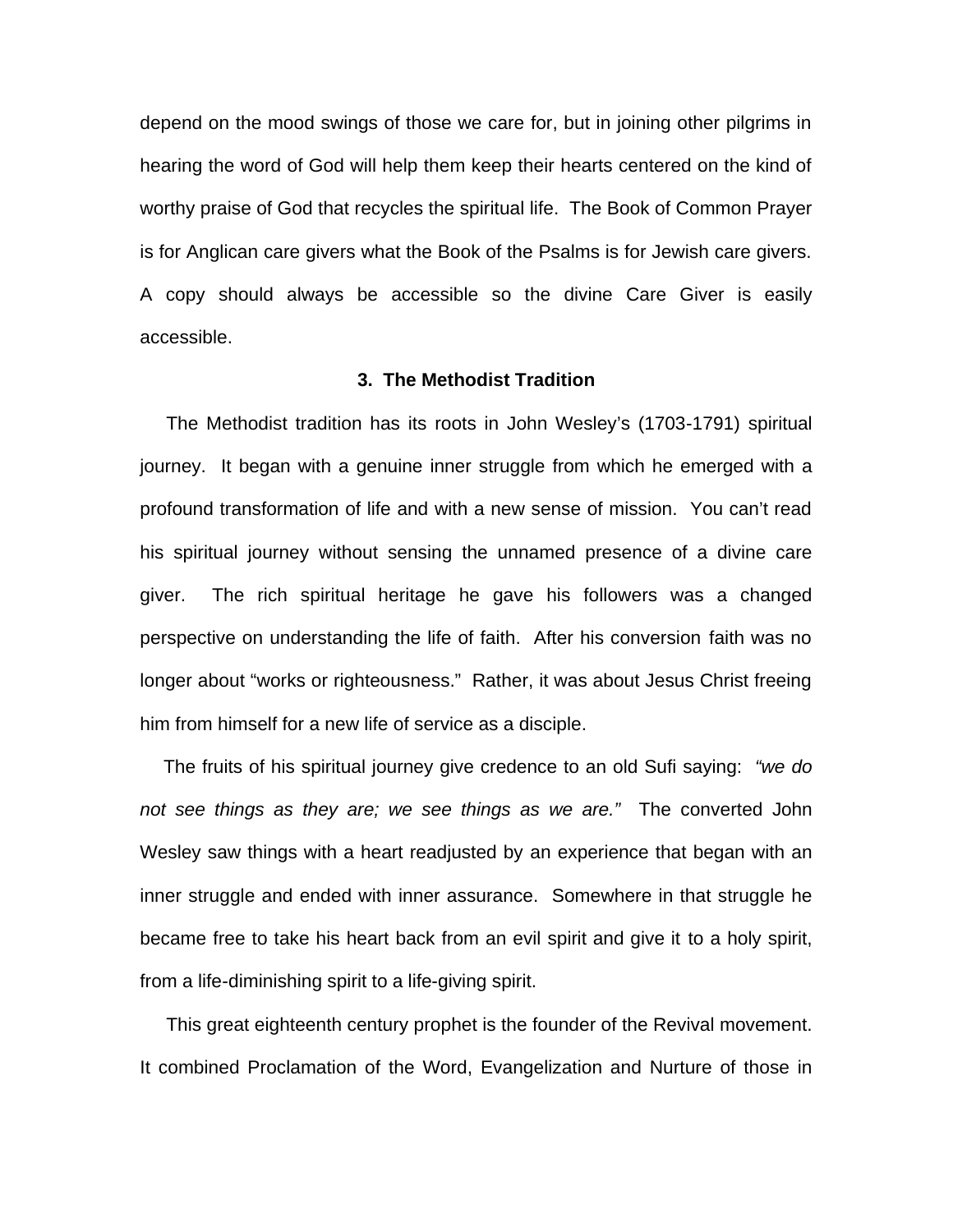depend on the mood swings of those we care for, but in joining other pilgrims in hearing the word of God will help them keep their hearts centered on the kind of worthy praise of God that recycles the spiritual life. The Book of Common Prayer is for Anglican care givers what the Book of the Psalms is for Jewish care givers. A copy should always be accessible so the divine Care Giver is easily accessible.

# **3. The Methodist Tradition**

The Methodist tradition has its roots in John Wesley's (1703-1791) spiritual journey. It began with a genuine inner struggle from which he emerged with a profound transformation of life and with a new sense of mission. You can't read his spiritual journey without sensing the unnamed presence of a divine care giver. The rich spiritual heritage he gave his followers was a changed perspective on understanding the life of faith. After his conversion faith was no longer about "works or righteousness." Rather, it was about Jesus Christ freeing him from himself for a new life of service as a disciple.

 The fruits of his spiritual journey give credence to an old Sufi saying: *"we do not see things as they are; we see things as we are."* The converted John Wesley saw things with a heart readjusted by an experience that began with an inner struggle and ended with inner assurance. Somewhere in that struggle he became free to take his heart back from an evil spirit and give it to a holy spirit, from a life-diminishing spirit to a life-giving spirit.

 This great eighteenth century prophet is the founder of the Revival movement. It combined Proclamation of the Word, Evangelization and Nurture of those in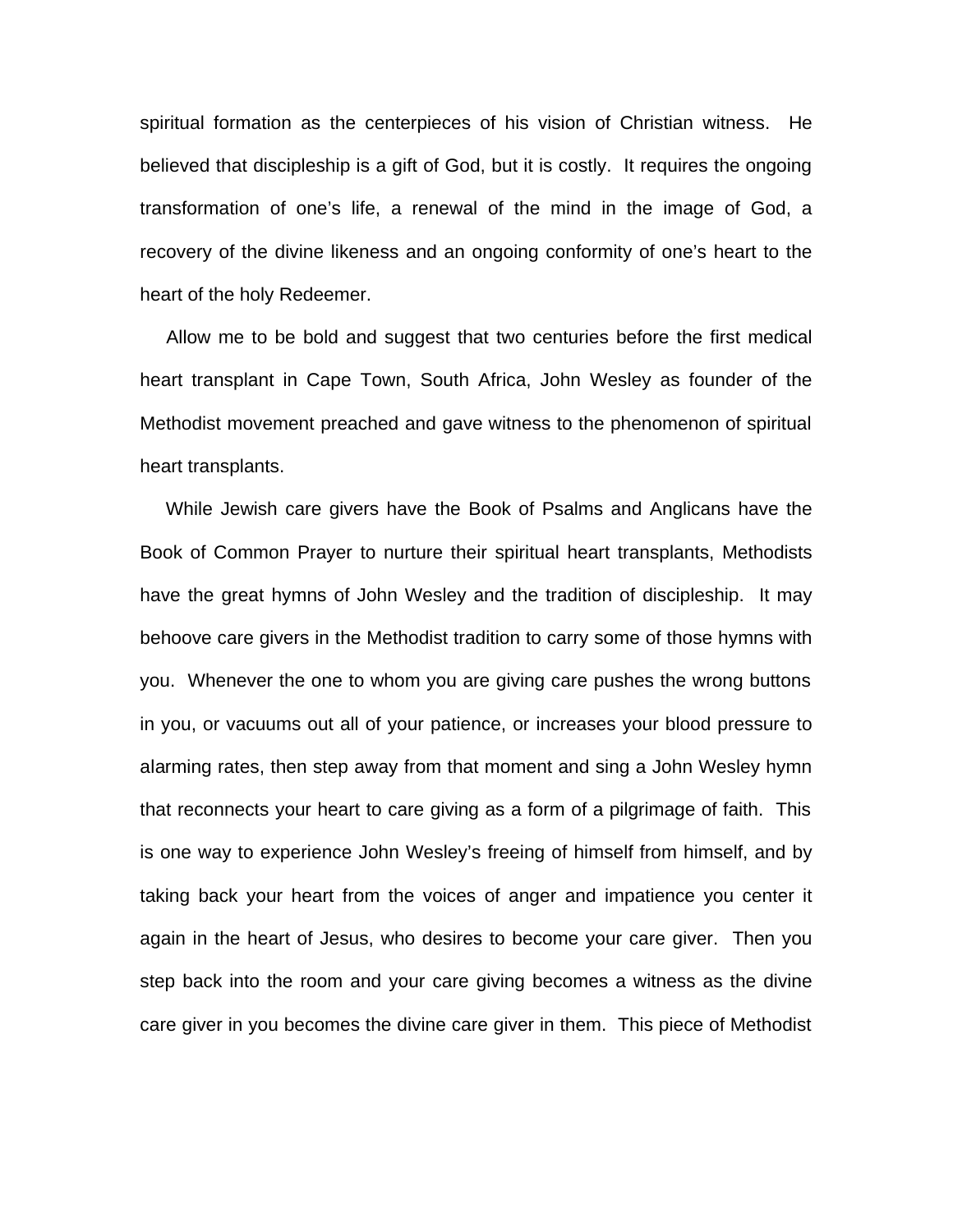spiritual formation as the centerpieces of his vision of Christian witness. He believed that discipleship is a gift of God, but it is costly. It requires the ongoing transformation of one's life, a renewal of the mind in the image of God, a recovery of the divine likeness and an ongoing conformity of one's heart to the heart of the holy Redeemer.

 Allow me to be bold and suggest that two centuries before the first medical heart transplant in Cape Town, South Africa, John Wesley as founder of the Methodist movement preached and gave witness to the phenomenon of spiritual heart transplants.

 While Jewish care givers have the Book of Psalms and Anglicans have the Book of Common Prayer to nurture their spiritual heart transplants, Methodists have the great hymns of John Wesley and the tradition of discipleship. It may behoove care givers in the Methodist tradition to carry some of those hymns with you. Whenever the one to whom you are giving care pushes the wrong buttons in you, or vacuums out all of your patience, or increases your blood pressure to alarming rates, then step away from that moment and sing a John Wesley hymn that reconnects your heart to care giving as a form of a pilgrimage of faith. This is one way to experience John Wesley's freeing of himself from himself, and by taking back your heart from the voices of anger and impatience you center it again in the heart of Jesus, who desires to become your care giver. Then you step back into the room and your care giving becomes a witness as the divine care giver in you becomes the divine care giver in them. This piece of Methodist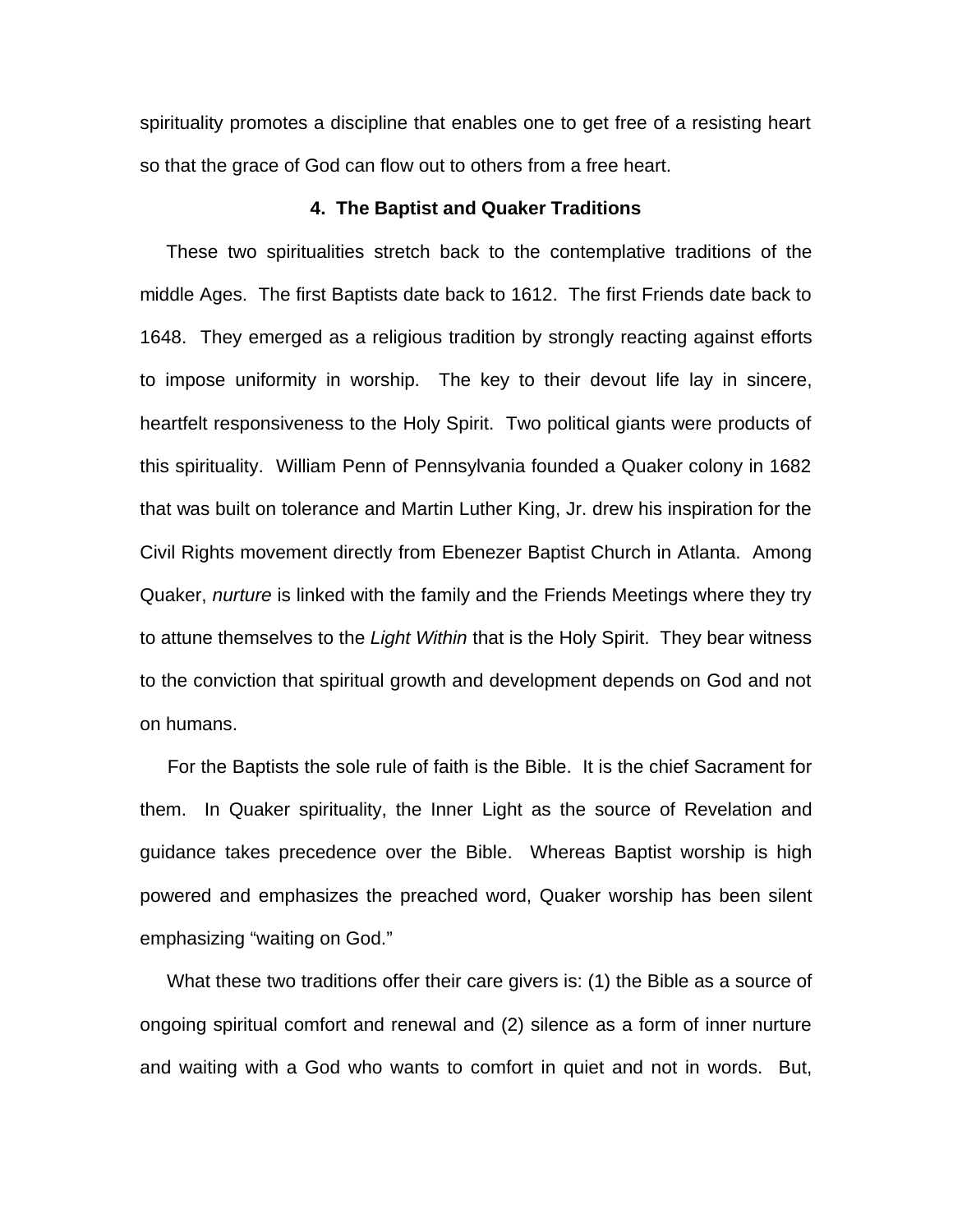spirituality promotes a discipline that enables one to get free of a resisting heart so that the grace of God can flow out to others from a free heart.

## **4. The Baptist and Quaker Traditions**

 These two spiritualities stretch back to the contemplative traditions of the middle Ages. The first Baptists date back to 1612. The first Friends date back to 1648. They emerged as a religious tradition by strongly reacting against efforts to impose uniformity in worship. The key to their devout life lay in sincere, heartfelt responsiveness to the Holy Spirit. Two political giants were products of this spirituality. William Penn of Pennsylvania founded a Quaker colony in 1682 that was built on tolerance and Martin Luther King, Jr. drew his inspiration for the Civil Rights movement directly from Ebenezer Baptist Church in Atlanta. Among Quaker, *nurture* is linked with the family and the Friends Meetings where they try to attune themselves to the *Light Within* that is the Holy Spirit. They bear witness to the conviction that spiritual growth and development depends on God and not on humans.

 For the Baptists the sole rule of faith is the Bible. It is the chief Sacrament for them. In Quaker spirituality, the Inner Light as the source of Revelation and guidance takes precedence over the Bible. Whereas Baptist worship is high powered and emphasizes the preached word, Quaker worship has been silent emphasizing "waiting on God."

 What these two traditions offer their care givers is: (1) the Bible as a source of ongoing spiritual comfort and renewal and (2) silence as a form of inner nurture and waiting with a God who wants to comfort in quiet and not in words. But,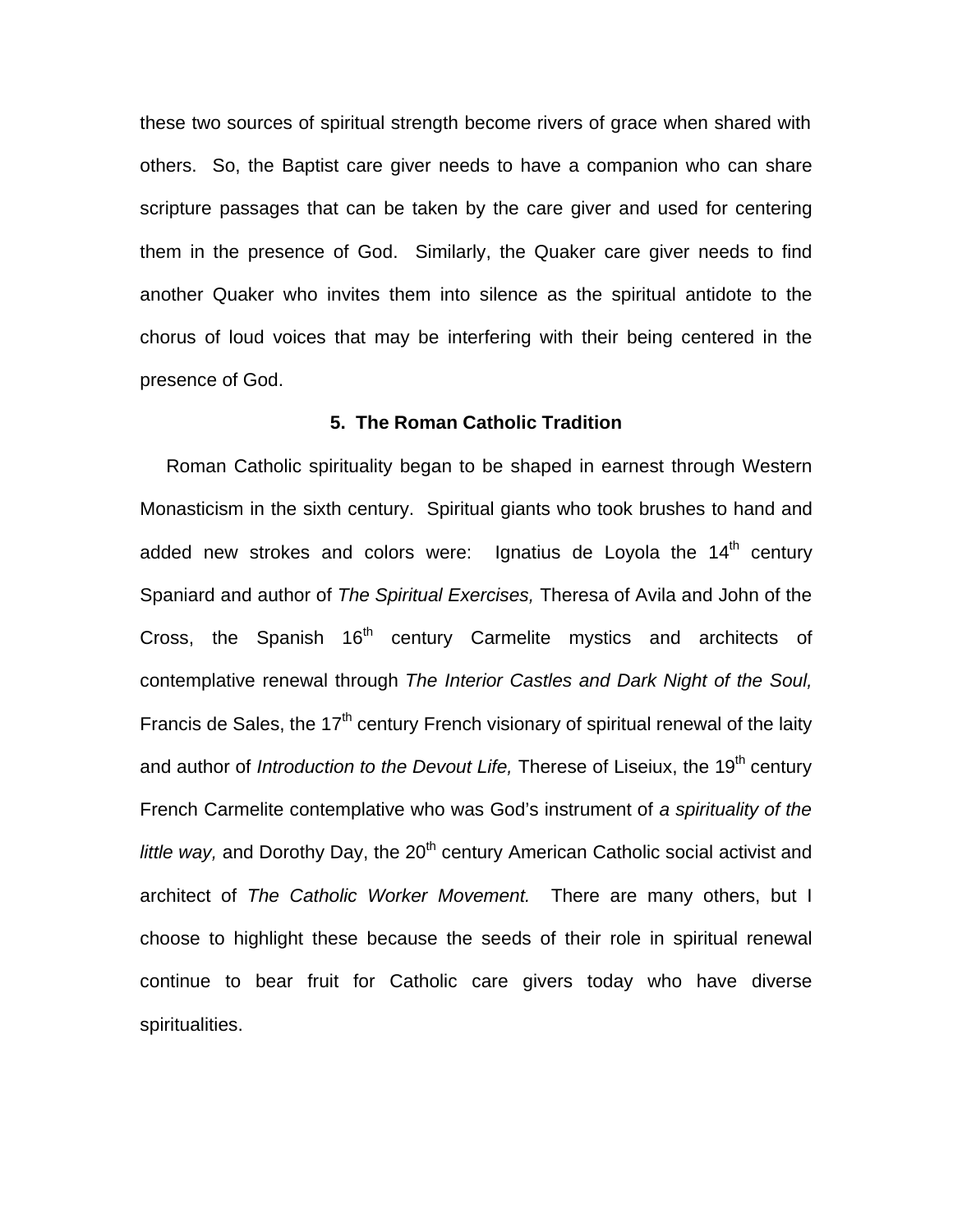these two sources of spiritual strength become rivers of grace when shared with others. So, the Baptist care giver needs to have a companion who can share scripture passages that can be taken by the care giver and used for centering them in the presence of God. Similarly, the Quaker care giver needs to find another Quaker who invites them into silence as the spiritual antidote to the chorus of loud voices that may be interfering with their being centered in the presence of God.

# **5. The Roman Catholic Tradition**

 Roman Catholic spirituality began to be shaped in earnest through Western Monasticism in the sixth century. Spiritual giants who took brushes to hand and added new strokes and colors were: Ignatius de Loyola the  $14<sup>th</sup>$  century Spaniard and author of *The Spiritual Exercises,* Theresa of Avila and John of the Cross, the Spanish 16<sup>th</sup> century Carmelite mystics and architects of contemplative renewal through *The Interior Castles and Dark Night of the Soul,* Francis de Sales, the 17<sup>th</sup> century French visionary of spiritual renewal of the laity and author of *Introduction to the Devout Life*, Therese of Liseiux, the 19<sup>th</sup> century French Carmelite contemplative who was God's instrument of *a spirituality of the little way*, and Dorothy Day, the 20<sup>th</sup> century American Catholic social activist and architect of *The Catholic Worker Movement.* There are many others, but I choose to highlight these because the seeds of their role in spiritual renewal continue to bear fruit for Catholic care givers today who have diverse spiritualities.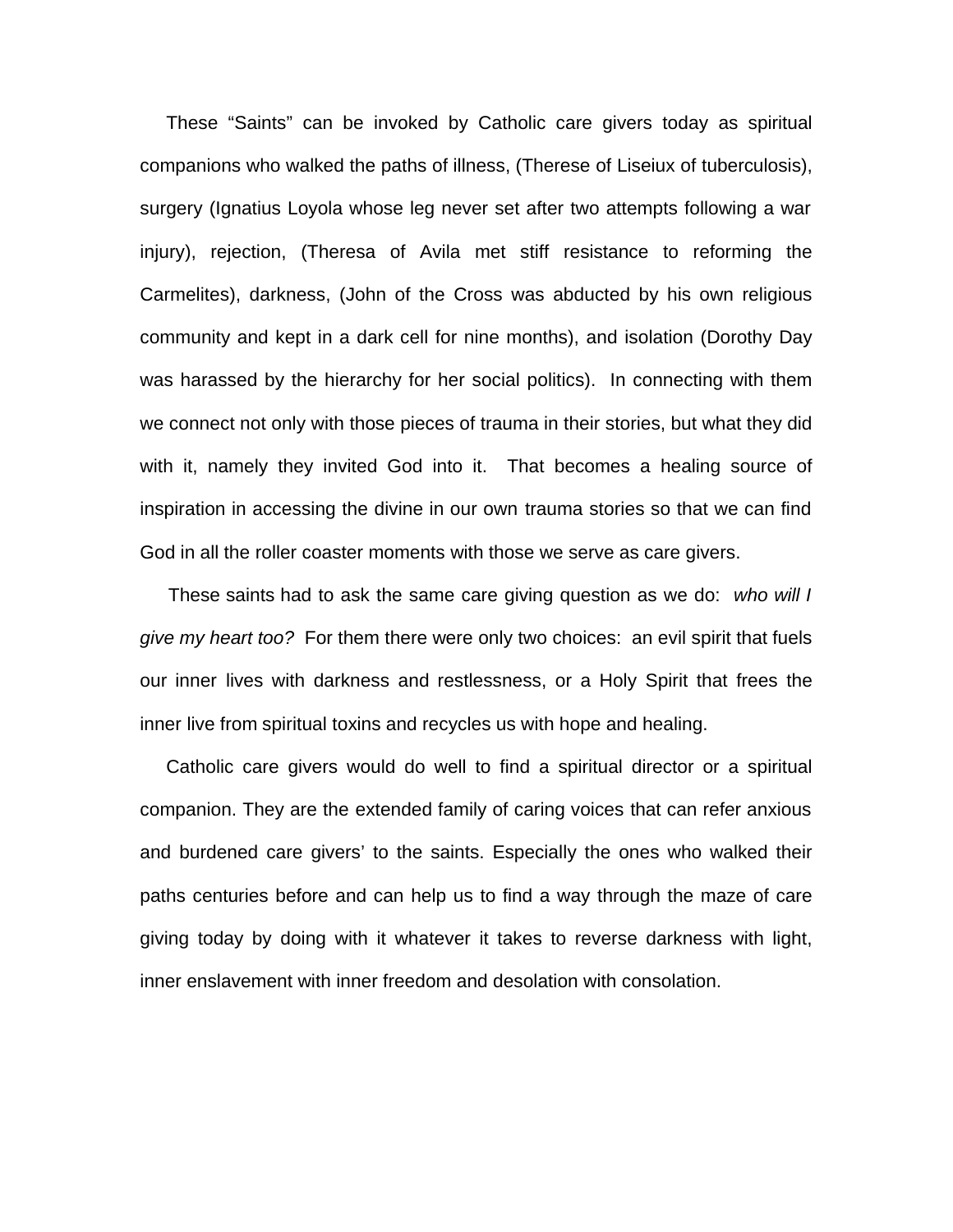These "Saints" can be invoked by Catholic care givers today as spiritual companions who walked the paths of illness, (Therese of Liseiux of tuberculosis), surgery (Ignatius Loyola whose leg never set after two attempts following a war injury), rejection, (Theresa of Avila met stiff resistance to reforming the Carmelites), darkness, (John of the Cross was abducted by his own religious community and kept in a dark cell for nine months), and isolation (Dorothy Day was harassed by the hierarchy for her social politics). In connecting with them we connect not only with those pieces of trauma in their stories, but what they did with it, namely they invited God into it. That becomes a healing source of inspiration in accessing the divine in our own trauma stories so that we can find God in all the roller coaster moments with those we serve as care givers.

 These saints had to ask the same care giving question as we do: *who will I give my heart too?* For them there were only two choices: an evil spirit that fuels our inner lives with darkness and restlessness, or a Holy Spirit that frees the inner live from spiritual toxins and recycles us with hope and healing.

 Catholic care givers would do well to find a spiritual director or a spiritual companion. They are the extended family of caring voices that can refer anxious and burdened care givers' to the saints. Especially the ones who walked their paths centuries before and can help us to find a way through the maze of care giving today by doing with it whatever it takes to reverse darkness with light, inner enslavement with inner freedom and desolation with consolation.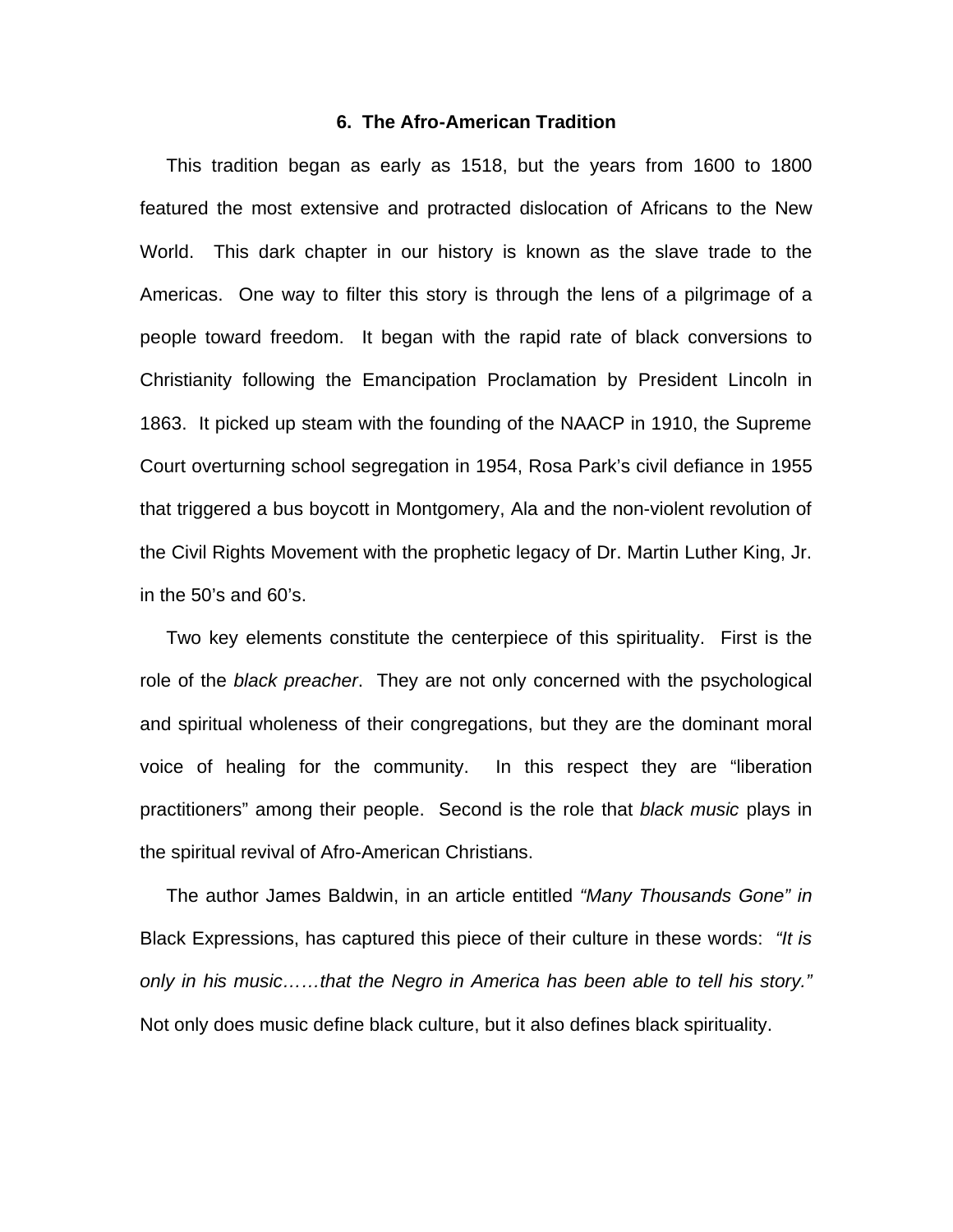## **6. The Afro-American Tradition**

 This tradition began as early as 1518, but the years from 1600 to 1800 featured the most extensive and protracted dislocation of Africans to the New World. This dark chapter in our history is known as the slave trade to the Americas. One way to filter this story is through the lens of a pilgrimage of a people toward freedom. It began with the rapid rate of black conversions to Christianity following the Emancipation Proclamation by President Lincoln in 1863. It picked up steam with the founding of the NAACP in 1910, the Supreme Court overturning school segregation in 1954, Rosa Park's civil defiance in 1955 that triggered a bus boycott in Montgomery, Ala and the non-violent revolution of the Civil Rights Movement with the prophetic legacy of Dr. Martin Luther King, Jr. in the 50's and 60's.

 Two key elements constitute the centerpiece of this spirituality. First is the role of the *black preacher*. They are not only concerned with the psychological and spiritual wholeness of their congregations, but they are the dominant moral voice of healing for the community. In this respect they are "liberation practitioners" among their people. Second is the role that *black music* plays in the spiritual revival of Afro-American Christians.

 The author James Baldwin, in an article entitled *"Many Thousands Gone" in* Black Expressions, has captured this piece of their culture in these words: *"It is only in his music……that the Negro in America has been able to tell his story."*  Not only does music define black culture, but it also defines black spirituality.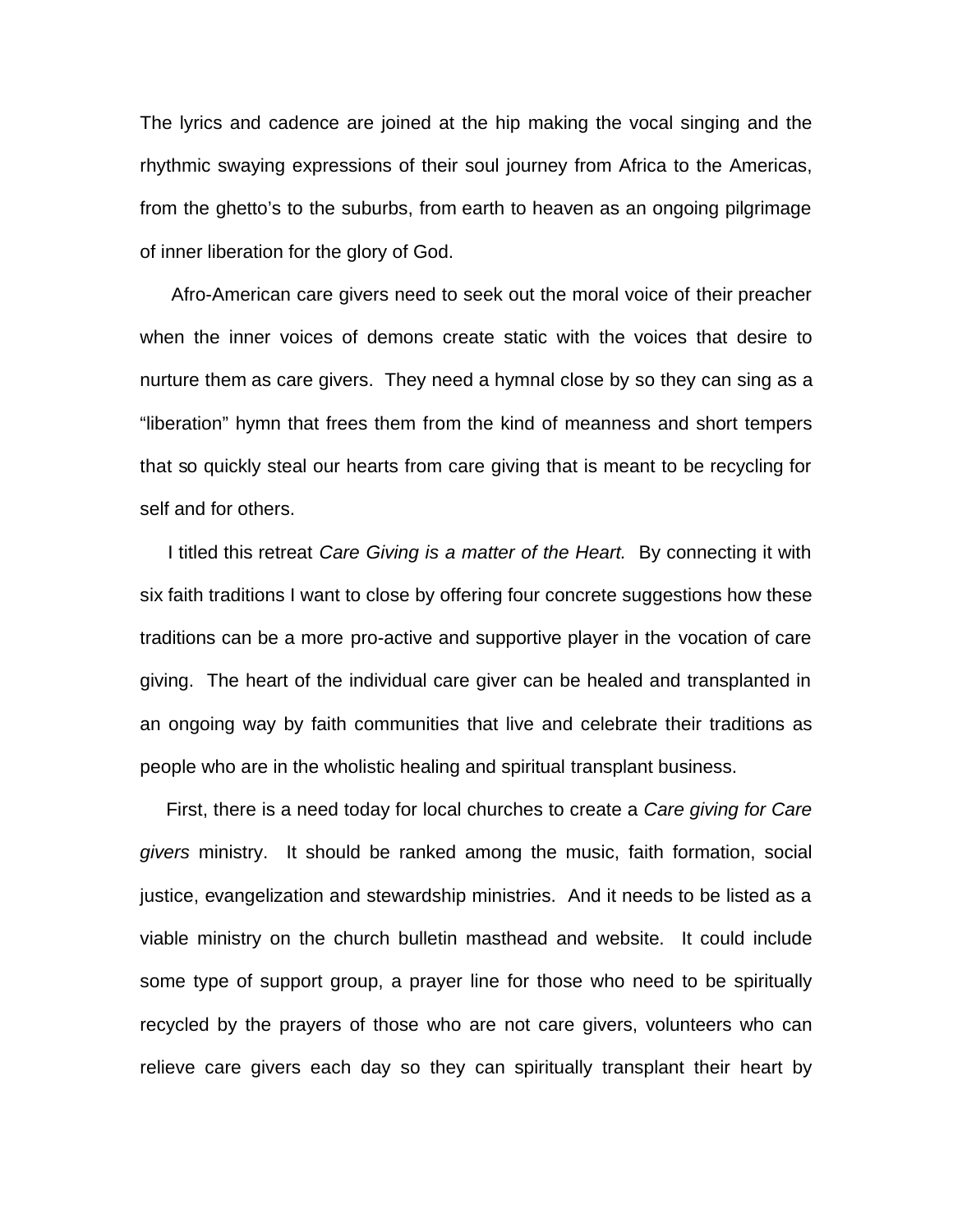The lyrics and cadence are joined at the hip making the vocal singing and the rhythmic swaying expressions of their soul journey from Africa to the Americas, from the ghetto's to the suburbs, from earth to heaven as an ongoing pilgrimage of inner liberation for the glory of God.

 Afro-American care givers need to seek out the moral voice of their preacher when the inner voices of demons create static with the voices that desire to nurture them as care givers. They need a hymnal close by so they can sing as a "liberation" hymn that frees them from the kind of meanness and short tempers that so quickly steal our hearts from care giving that is meant to be recycling for self and for others.

 I titled this retreat *Care Giving is a matter of the Heart.* By connecting it with six faith traditions I want to close by offering four concrete suggestions how these traditions can be a more pro-active and supportive player in the vocation of care giving. The heart of the individual care giver can be healed and transplanted in an ongoing way by faith communities that live and celebrate their traditions as people who are in the wholistic healing and spiritual transplant business.

 First, there is a need today for local churches to create a *Care giving for Care givers* ministry. It should be ranked among the music, faith formation, social justice, evangelization and stewardship ministries. And it needs to be listed as a viable ministry on the church bulletin masthead and website. It could include some type of support group, a prayer line for those who need to be spiritually recycled by the prayers of those who are not care givers, volunteers who can relieve care givers each day so they can spiritually transplant their heart by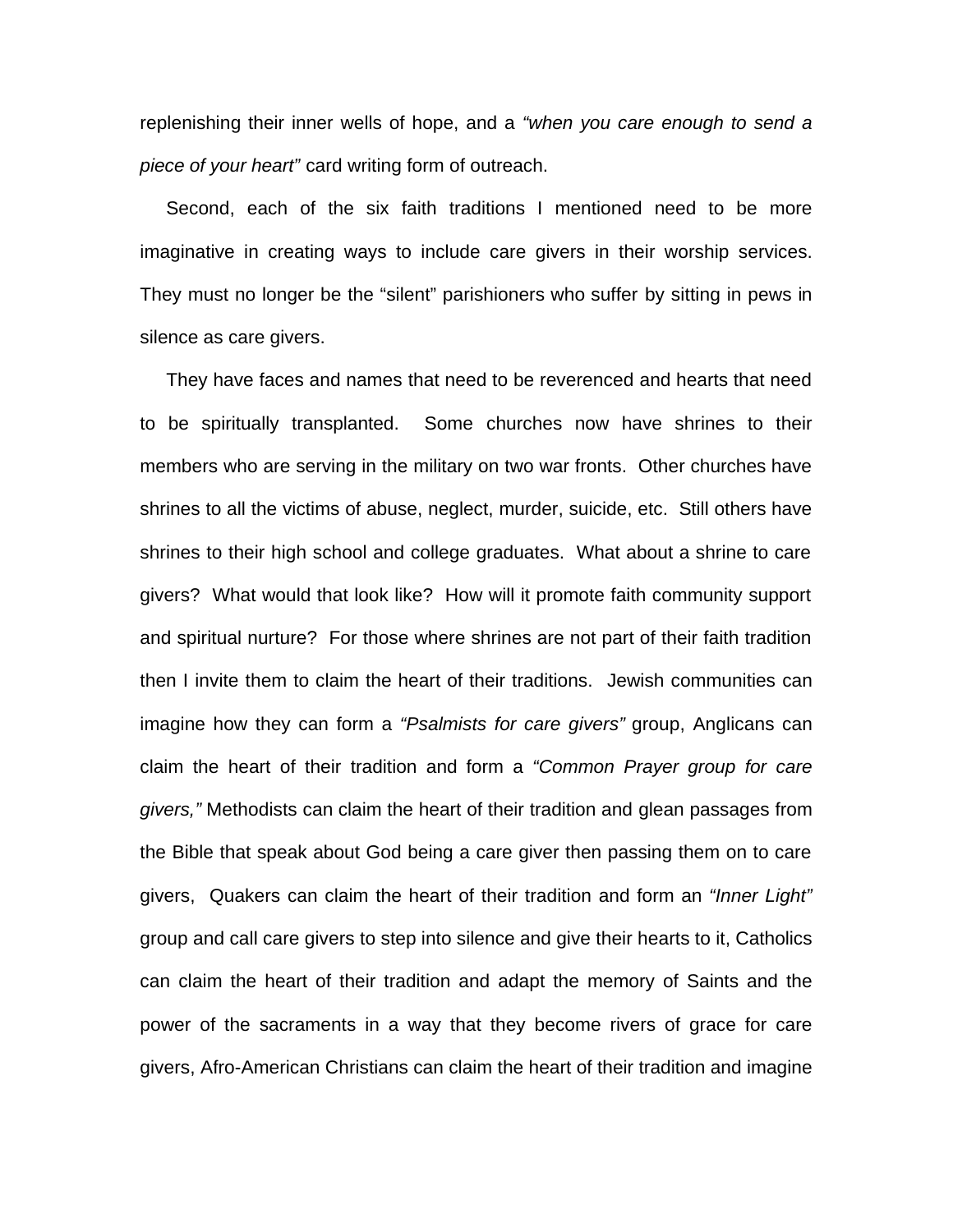replenishing their inner wells of hope, and a *"when you care enough to send a piece of your heart"* card writing form of outreach.

 Second, each of the six faith traditions I mentioned need to be more imaginative in creating ways to include care givers in their worship services. They must no longer be the "silent" parishioners who suffer by sitting in pews in silence as care givers.

 They have faces and names that need to be reverenced and hearts that need to be spiritually transplanted. Some churches now have shrines to their members who are serving in the military on two war fronts. Other churches have shrines to all the victims of abuse, neglect, murder, suicide, etc. Still others have shrines to their high school and college graduates. What about a shrine to care givers? What would that look like? How will it promote faith community support and spiritual nurture? For those where shrines are not part of their faith tradition then I invite them to claim the heart of their traditions. Jewish communities can imagine how they can form a *"Psalmists for care givers"* group, Anglicans can claim the heart of their tradition and form a *"Common Prayer group for care givers,"* Methodists can claim the heart of their tradition and glean passages from the Bible that speak about God being a care giver then passing them on to care givers, Quakers can claim the heart of their tradition and form an *"Inner Light"* group and call care givers to step into silence and give their hearts to it, Catholics can claim the heart of their tradition and adapt the memory of Saints and the power of the sacraments in a way that they become rivers of grace for care givers, Afro-American Christians can claim the heart of their tradition and imagine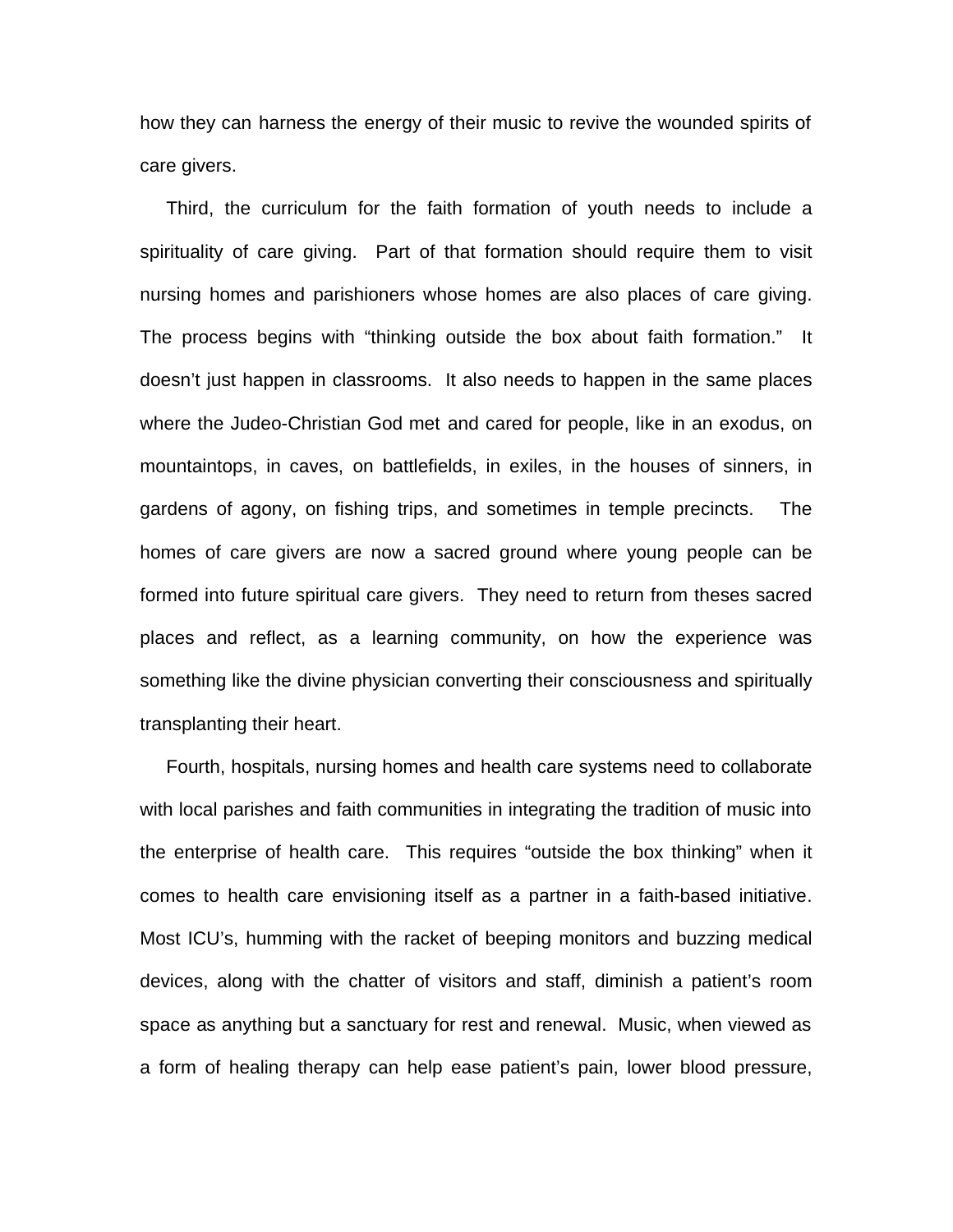how they can harness the energy of their music to revive the wounded spirits of care givers.

 Third, the curriculum for the faith formation of youth needs to include a spirituality of care giving. Part of that formation should require them to visit nursing homes and parishioners whose homes are also places of care giving. The process begins with "thinking outside the box about faith formation." It doesn't just happen in classrooms. It also needs to happen in the same places where the Judeo-Christian God met and cared for people, like in an exodus, on mountaintops, in caves, on battlefields, in exiles, in the houses of sinners, in gardens of agony, on fishing trips, and sometimes in temple precincts. The homes of care givers are now a sacred ground where young people can be formed into future spiritual care givers. They need to return from theses sacred places and reflect, as a learning community, on how the experience was something like the divine physician converting their consciousness and spiritually transplanting their heart.

 Fourth, hospitals, nursing homes and health care systems need to collaborate with local parishes and faith communities in integrating the tradition of music into the enterprise of health care. This requires "outside the box thinking" when it comes to health care envisioning itself as a partner in a faith-based initiative. Most ICU's, humming with the racket of beeping monitors and buzzing medical devices, along with the chatter of visitors and staff, diminish a patient's room space as anything but a sanctuary for rest and renewal. Music, when viewed as a form of healing therapy can help ease patient's pain, lower blood pressure,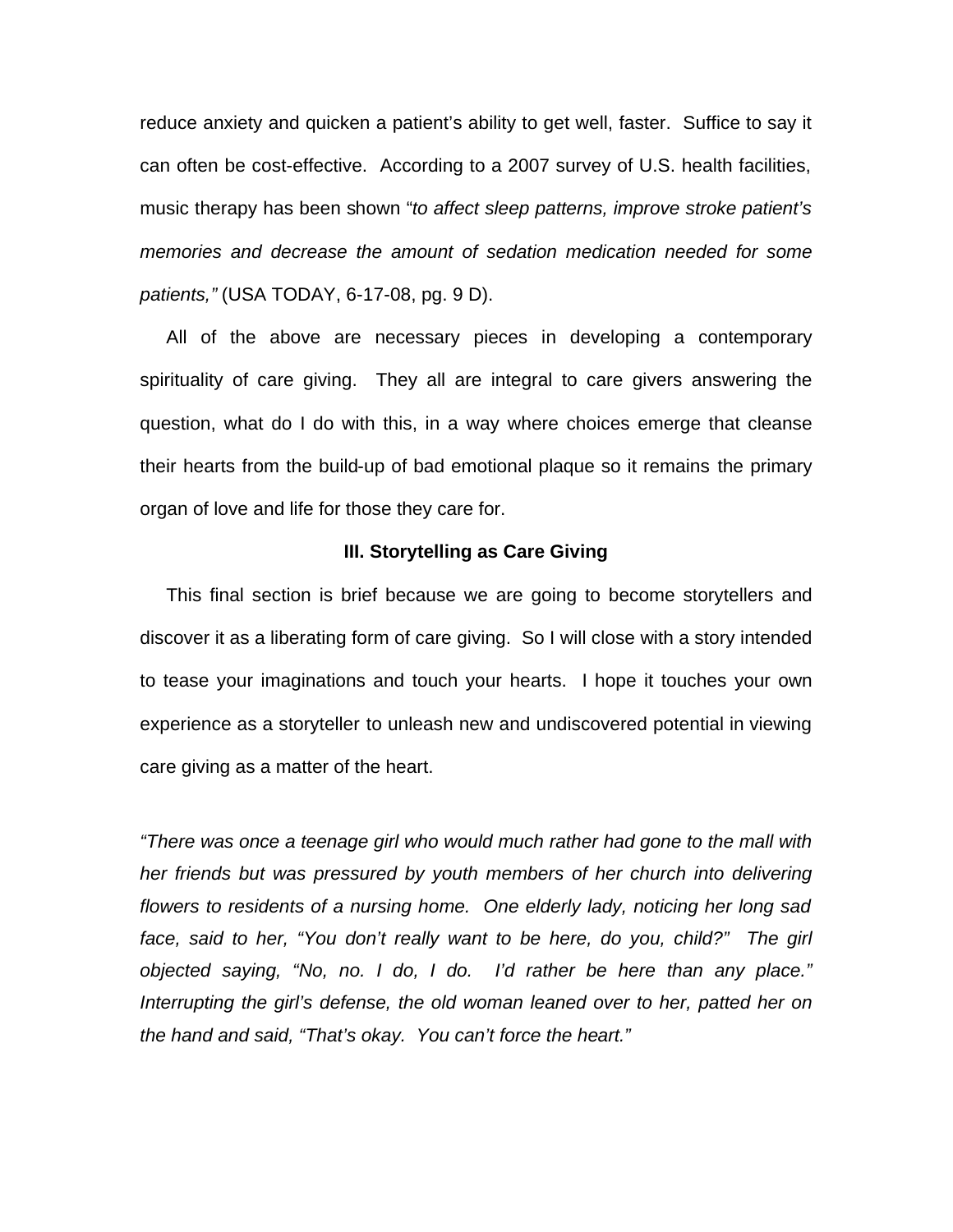reduce anxiety and quicken a patient's ability to get well, faster. Suffice to say it can often be cost-effective. According to a 2007 survey of U.S. health facilities, music therapy has been shown "*to affect sleep patterns, improve stroke patient's memories and decrease the amount of sedation medication needed for some patients,"* (USA TODAY, 6-17-08, pg. 9 D).

 All of the above are necessary pieces in developing a contemporary spirituality of care giving. They all are integral to care givers answering the question, what do I do with this, in a way where choices emerge that cleanse their hearts from the build-up of bad emotional plaque so it remains the primary organ of love and life for those they care for.

## **III. Storytelling as Care Giving**

 This final section is brief because we are going to become storytellers and discover it as a liberating form of care giving. So I will close with a story intended to tease your imaginations and touch your hearts. I hope it touches your own experience as a storyteller to unleash new and undiscovered potential in viewing care giving as a matter of the heart.

*"There was once a teenage girl who would much rather had gone to the mall with her friends but was pressured by youth members of her church into delivering flowers to residents of a nursing home. One elderly lady, noticing her long sad face, said to her, "You don't really want to be here, do you, child?" The girl objected saying, "No, no. I do, I do. I'd rather be here than any place." Interrupting the girl's defense, the old woman leaned over to her, patted her on the hand and said, "That's okay. You can't force the heart."*